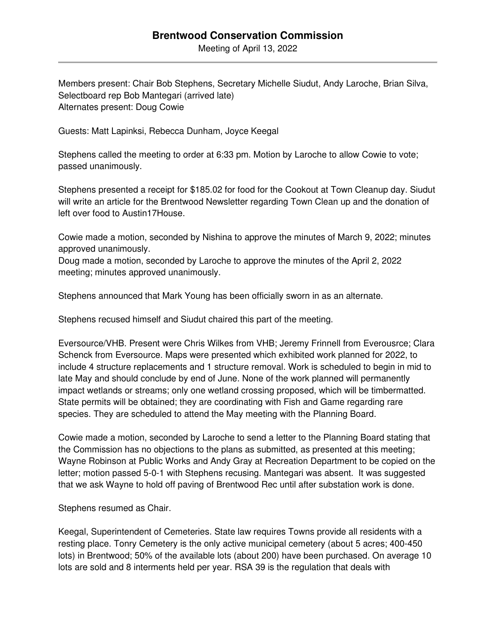## **Brentwood Conservation Commission**

Meeting of April 13, 2022

Members present: Chair Bob Stephens, Secretary Michelle Siudut, Andy Laroche, Brian Silva, Selectboard rep Bob Mantegari (arrived late) Alternates present: Doug Cowie

Guests: Matt Lapinksi, Rebecca Dunham, Joyce Keegal

Stephens called the meeting to order at 6:33 pm. Motion by Laroche to allow Cowie to vote; passed unanimously.

Stephens presented a receipt for \$185.02 for food for the Cookout at Town Cleanup day. Siudut will write an article for the Brentwood Newsletter regarding Town Clean up and the donation of left over food to Austin17House.

Cowie made a motion, seconded by Nishina to approve the minutes of March 9, 2022; minutes approved unanimously.

Doug made a motion, seconded by Laroche to approve the minutes of the April 2, 2022 meeting; minutes approved unanimously.

Stephens announced that Mark Young has been officially sworn in as an alternate.

Stephens recused himself and Siudut chaired this part of the meeting.

Eversource/VHB. Present were Chris Wilkes from VHB; Jeremy Frinnell from Everousrce; Clara Schenck from Eversource. Maps were presented which exhibited work planned for 2022, to include 4 structure replacements and 1 structure removal. Work is scheduled to begin in mid to late May and should conclude by end of June. None of the work planned will permanently impact wetlands or streams; only one wetland crossing proposed, which will be timbermatted. State permits will be obtained; they are coordinating with Fish and Game regarding rare species. They are scheduled to attend the May meeting with the Planning Board.

Cowie made a motion, seconded by Laroche to send a letter to the Planning Board stating that the Commission has no objections to the plans as submitted, as presented at this meeting; Wayne Robinson at Public Works and Andy Gray at Recreation Department to be copied on the letter; motion passed 5-0-1 with Stephens recusing. Mantegari was absent. It was suggested that we ask Wayne to hold off paving of Brentwood Rec until after substation work is done.

Stephens resumed as Chair.

Keegal, Superintendent of Cemeteries. State law requires Towns provide all residents with a resting place. Tonry Cemetery is the only active municipal cemetery (about 5 acres; 400-450 lots) in Brentwood; 50% of the available lots (about 200) have been purchased. On average 10 lots are sold and 8 interments held per year. RSA 39 is the regulation that deals with